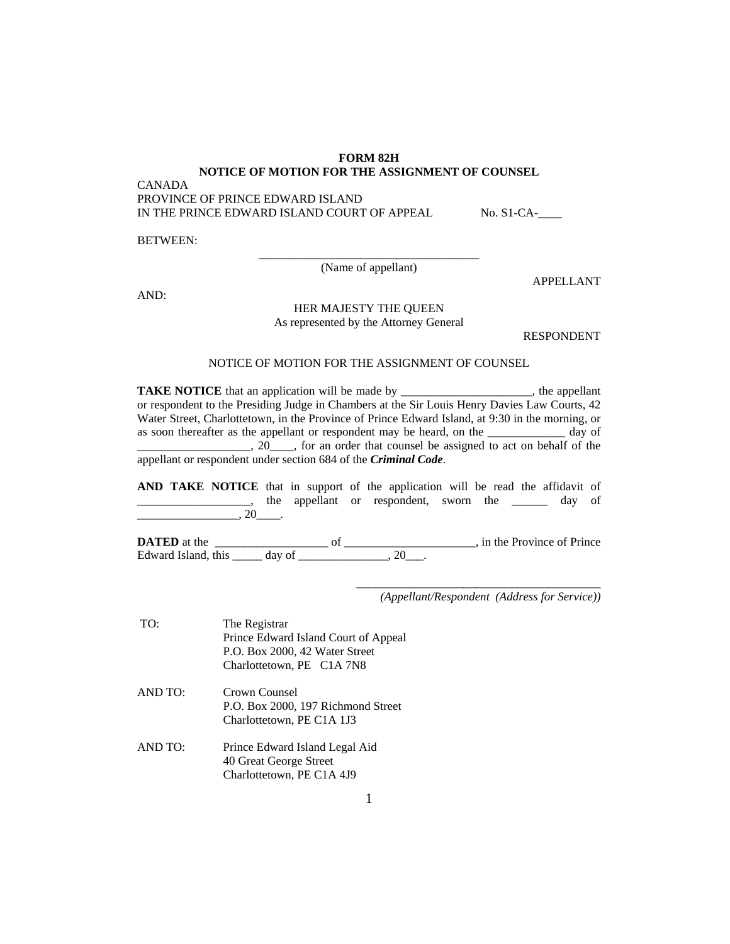## **FORM 82H NOTICE OF MOTION FOR THE ASSIGNMENT OF COUNSEL**

CANADA

PROVINCE OF PRINCE EDWARD ISLAND IN THE PRINCE EDWARD ISLAND COURT OF APPEAL No. S1-CA-

BETWEEN:

\_\_\_\_\_\_\_\_\_\_\_\_\_\_\_\_\_\_\_\_\_\_\_\_\_\_\_\_\_\_\_\_\_\_\_\_\_ (Name of appellant)

AND:

## HER MAJESTY THE QUEEN As represented by the Attorney General

RESPONDENT

APPELLANT

## NOTICE OF MOTION FOR THE ASSIGNMENT OF COUNSEL

**TAKE NOTICE** that an application will be made by \_\_\_\_\_\_\_\_\_\_\_\_\_\_\_\_\_, the appellant or respondent to the Presiding Judge in Chambers at the Sir Louis Henry Davies Law Courts, 42 Water Street, Charlottetown, in the Province of Prince Edward Island, at 9:30 in the morning, or as soon thereafter as the appellant or respondent may be heard, on the \_\_\_\_\_\_\_\_\_\_\_\_\_ day of  $\_\_$ , 20 $\_\_$ , for an order that counsel be assigned to act on behalf of the appellant or respondent under section 684 of the *Criminal Code*.

**AND TAKE NOTICE** that in support of the application will be read the affidavit of the appellant or respondent, sworn the day of  $\overline{\phantom{a}}$ , 20 $\phantom{a}$ .

**DATED** at the \_\_\_\_\_\_\_\_\_\_\_\_\_\_\_\_\_\_\_ of \_\_\_\_\_\_\_\_\_\_\_\_\_\_\_\_\_\_\_\_\_\_, in the Province of Prince Edward Island, this  $\frac{1}{\sqrt{2}}$  day of  $\frac{1}{\sqrt{2}}$ , 20\_\_\_.

*(Appellant/Respondent (Address for Service))* 

\_\_\_\_\_\_\_\_\_\_\_\_\_\_\_\_\_\_\_\_\_\_\_\_\_\_\_\_\_\_\_\_\_\_\_\_\_\_\_\_\_

 TO: The Registrar Prince Edward Island Court of Appeal P.O. Box 2000, 42 Water Street Charlottetown, PE C1A 7N8 AND TO: Crown Counsel P.O. Box 2000, 197 Richmond Street Charlottetown, PE C1A 1J3 AND TO: Prince Edward Island Legal Aid 40 Great George Street

Charlottetown, PE C1A 4J9